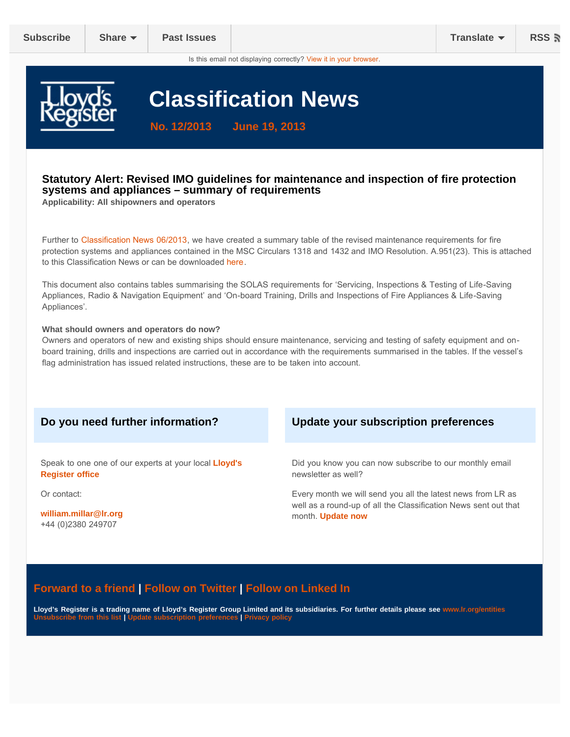Is this email not displaying correctly? [View it in your browser.](#page-0-0)

<span id="page-0-0"></span>

# **Classification News**

**No. 12/2013 June 19, 2013**

#### **Statutory Alert: Revised IMO guidelines for maintenance and inspection of fire protection systems and appliances – summary of requirements**

**Applicability: All shipowners and operators**

Further to [Classification News 06/2013](http://us1.campaign-archive1.com/?u=5bb0377ad3412af98d78d1985&id=22e5200fb0), we have created a summary table of the revised maintenance requirements for fire protection systems and appliances contained in the MSC Circulars 1318 and 1432 and IMO Resolution. A.951(23). This is attached to this Class[ificatio](https://dl.dropboxusercontent.com/u/12013214/LR_Onboard%20Maintenance%20tables.pdf)n News or can be downloaded here.

This document also contains tables summarising the SOLAS requirements for 'Servicing, Inspections & Testing of Life-Saving Appliances, Radio & Navigation Equipment' and 'On-board Training, Drills and Inspections of Fire Appliances & Life-Saving Appliances'.

#### **What should owners and operators do now?**

Owners and operators of new and existing ships should ensure maintenance, servicing and testing of safety equipment and onboard training, drills and inspections are carried out in accordance with the requirements summarised in the tables. If the vessel's flag administration has issued related instructions, these are to be taken into account.

Speak to one one of our experts at your local **[Lloyd's](http://www.lr.org/contact_us/office_directory/index.aspx) [Register](http://www.lr.org/contact_us/office_directory/index.aspx) office**

Or contact:

**[william.millar@lr.org](mailto:william.millar@lr.org)** +44 (0)2380 249707

#### **Do you need further information? Update your subscription preferences**

Did you know you can now subscribe to our monthly email newsletter as well?

Every month we will send you all the latest news from LR as well as a round-up of all the Classification News sent out that month. **[Update now](http://www.us1.list-manage2.com/profile?u=5bb0377ad3412af98d78d1985&id=cf22a341b4&e=[UNIQID])**

### **[Forward to a friend](http://us1.forward-to-friend.com/forward?u=5bb0377ad3412af98d78d1985&id=3d382973ba&e=[UNIQID]) | [Follow on Twitter |](https://twitter.com/lr_marine) [Follow on Linked In](http://www.linkedin.com/company/lloyd)**

**Lloyd's Register is a trading name of Lloyd's Register Group Limited and its subsidiaries. For further details please see [www.lr.org/entities](http://www.lr.org/entities) [Unsubscribe from this list](http://www.us1.list-manage.com/unsubscribe?u=5bb0377ad3412af98d78d1985&id=cf22a341b4&e=[UNIQID]&c=3d382973ba) | [Update subscription preferences |](http://www.us1.list-manage2.com/profile?u=5bb0377ad3412af98d78d1985&id=cf22a341b4&e=[UNIQID]) [Privacy policy](http://www.lr.org/legal/privacy_policy.aspx)**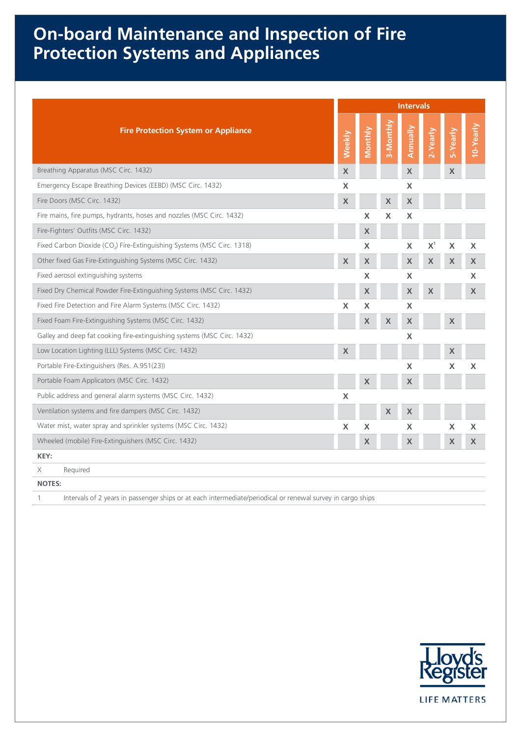## **On-board Maintenance and Inspection of Fire Protection Systems and Appliances**

|                                                                                     |        |                           | <b>Intervals</b> |                           |          |                           |           |  |  |  |  |  |
|-------------------------------------------------------------------------------------|--------|---------------------------|------------------|---------------------------|----------|---------------------------|-----------|--|--|--|--|--|
| <b>Fire Protection System or Appliance</b>                                          | Weekly | Monthly                   | 3-Monthly        | Annually                  | 2-Yearly | 5-Yearly                  | 10-Yearly |  |  |  |  |  |
| Breathing Apparatus (MSC Circ. 1432)                                                | X      |                           |                  | $\boldsymbol{X}$          |          | X                         |           |  |  |  |  |  |
| Emergency Escape Breathing Devices (EEBD) (MSC Circ. 1432)                          | X      |                           |                  | X                         |          |                           |           |  |  |  |  |  |
| Fire Doors (MSC Circ. 1432)                                                         | X      |                           | X                | X                         |          |                           |           |  |  |  |  |  |
| Fire mains, fire pumps, hydrants, hoses and nozzles (MSC Circ. 1432)                |        | X                         | $\mathsf{X}$     | X                         |          |                           |           |  |  |  |  |  |
| Fire-Fighters' Outfits (MSC Circ. 1432)                                             |        | X                         |                  |                           |          |                           |           |  |  |  |  |  |
| Fixed Carbon Dioxide (CO <sub>2</sub> ) Fire-Extinguishing Systems (MSC Circ. 1318) |        | X                         |                  | X                         | $X^1$    | X                         | X         |  |  |  |  |  |
| Other fixed Gas Fire-Extinguishing Systems (MSC Circ. 1432)                         | X      | X                         |                  | $\pmb{\mathsf{X}}$        | X        | X                         | X         |  |  |  |  |  |
| Fixed aerosol extinguishing systems                                                 |        | X                         |                  | X                         |          |                           | X         |  |  |  |  |  |
| Fixed Dry Chemical Powder Fire-Extinguishing Systems (MSC Circ. 1432)               |        | $\boldsymbol{\mathsf{X}}$ |                  | $\mathsf X$               | X        |                           | X         |  |  |  |  |  |
| Fixed Fire Detection and Fire Alarm Systems (MSC Circ. 1432)                        | X      | X                         |                  | X                         |          |                           |           |  |  |  |  |  |
| Fixed Foam Fire-Extinguishing Systems (MSC Circ. 1432)                              |        | X                         | X                | X                         |          | X                         |           |  |  |  |  |  |
| Galley and deep fat cooking fire-extinguishing systems (MSC Circ. 1432)             |        |                           |                  | X                         |          |                           |           |  |  |  |  |  |
| Low Location Lighting (LLL) Systems (MSC Circ. 1432)                                | X      |                           |                  |                           |          |                           |           |  |  |  |  |  |
| Portable Fire-Extinguishers (Res. A.951(23))                                        |        |                           |                  | X                         |          | X                         | X         |  |  |  |  |  |
| Portable Foam Applicators (MSC Circ. 1432)                                          |        | $\boldsymbol{\mathsf{X}}$ |                  | X                         |          |                           |           |  |  |  |  |  |
| Public address and general alarm systems (MSC Circ. 1432)                           | X      |                           |                  |                           |          |                           |           |  |  |  |  |  |
| Ventilation systems and fire dampers (MSC Circ. 1432)                               |        |                           | $\mathsf X$      | X                         |          |                           |           |  |  |  |  |  |
| Water mist, water spray and sprinkler systems (MSC Circ. 1432)                      | X      | $\boldsymbol{\mathsf{X}}$ |                  | X                         |          | $\boldsymbol{\mathsf{X}}$ | X         |  |  |  |  |  |
| Wheeled (mobile) Fire-Extinguishers (MSC Circ. 1432)                                |        | X                         |                  | $\boldsymbol{\mathsf{X}}$ |          | X                         | X         |  |  |  |  |  |
| KEY:                                                                                |        |                           |                  |                           |          |                           |           |  |  |  |  |  |
| Required<br>Χ                                                                       |        |                           |                  |                           |          |                           |           |  |  |  |  |  |
| <b>NOTES:</b>                                                                       |        |                           |                  |                           |          |                           |           |  |  |  |  |  |
| $\cdots$ $\cdots$                                                                   |        |                           |                  |                           |          |                           |           |  |  |  |  |  |

1 Intervals of 2 years in passenger ships or at each intermediate/periodical or renewal survey in cargo ships

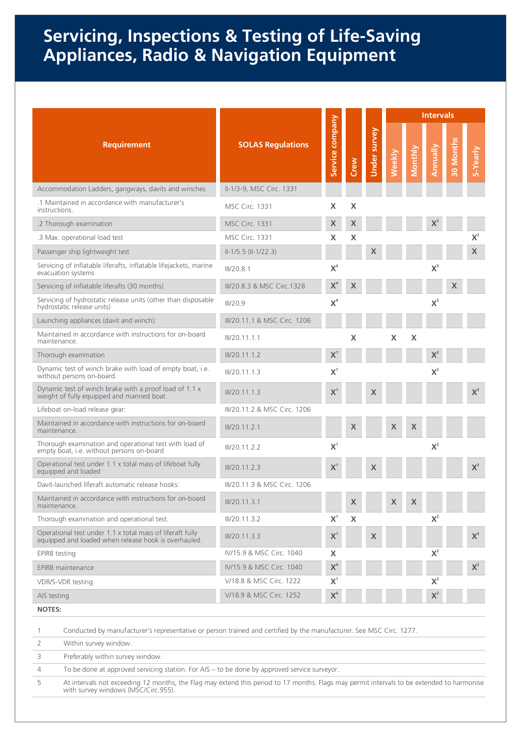### **Servicing, Inspections & Testing of Life-Saving Appliances, Radio & Navigation Equipment**

|                                                                                                                                                        |                              |                    |                  |                     | <b>Intervals</b> |         |          |           |                |  |  |
|--------------------------------------------------------------------------------------------------------------------------------------------------------|------------------------------|--------------------|------------------|---------------------|------------------|---------|----------|-----------|----------------|--|--|
| <b>Requirement</b>                                                                                                                                     | <b>SOLAS Regulations</b>     | company<br>Service | Crew             | <b>Under survey</b> | Weekly           | Monthly | Annually | 30 Months | 5-Yearly       |  |  |
| Accommodation Ladders, gangways, davits and winches                                                                                                    | II-1/3-9, MSC Circ. 1331     |                    |                  |                     |                  |         |          |           |                |  |  |
| .1 Maintained in accordance with manufacturer's<br>instructions.                                                                                       | <b>MSC Circ. 1331</b>        | X                  | X                |                     |                  |         |          |           |                |  |  |
| .2 Thorough examination                                                                                                                                | <b>MSC Circ. 1331</b>        | $\pmb{\mathsf{X}}$ | X                |                     |                  |         | $X^2$    |           |                |  |  |
| .3 Max. operational load test                                                                                                                          | <b>MSC Circ. 1331</b>        | X                  | X                |                     |                  |         |          |           | $X^3$          |  |  |
| Passenger ship lightweight test                                                                                                                        | $II-1/5.5 (II-1/22.3)$       |                    |                  | X                   |                  |         |          |           | X.             |  |  |
| Servicing of inflatable liferafts, inflatable lifejackets, marine<br>evacuation systems                                                                | III/20.8.1                   | $X^4$              |                  |                     |                  |         | $X^5$    |           |                |  |  |
| Servicing of inflatable liferafts (30 months)                                                                                                          | III/20.8.3 & MSC Circ. 1328  | $\mathbf{X}^4$     | X                |                     |                  |         |          | X         |                |  |  |
| Servicing of hydrostatic release units (other than disposable<br>hydrostatic release units)                                                            | III/20.9                     | $X^4$              |                  |                     |                  |         | $X^5$    |           |                |  |  |
| Launching appliances (davit and winch):                                                                                                                | III/20.11.1 & MSC Circ. 1206 |                    |                  |                     |                  |         |          |           |                |  |  |
| Maintained in accordance with instructions for on-board<br>maintenance.                                                                                | III/20.11.1.1                |                    | X                |                     | X                | X       |          |           |                |  |  |
| Thorough examination                                                                                                                                   | III/Z0.11.1.2                | $\mathbf{X}^1$     |                  |                     |                  |         | $X^2$    |           |                |  |  |
| Dynamic test of winch brake with load of empty boat, i.e.<br>without persons on-board.                                                                 | III/20.11.1.3                | X <sup>1</sup>     |                  |                     |                  |         | $X^2$    |           |                |  |  |
| Dynamic test of winch brake with a proof load of 1.1 x<br>weight of fully equipped and manned boat.                                                    | III/20.11.1.3                | X <sup>1</sup>     |                  | X                   |                  |         |          |           | $X^3$          |  |  |
| Lifeboat on-load release gear:                                                                                                                         | III/20.11.2 & MSC Circ. 1206 |                    |                  |                     |                  |         |          |           |                |  |  |
| Maintained in accordance with instructions for on-board<br>maintenance.                                                                                | III/Z0.11.2.1                |                    | X                |                     | X                | X       |          |           |                |  |  |
| Thorough examination and operational test with load of<br>empty boat, i.e. without persons on-board                                                    | III/20.11.2.2                | $X^1$              |                  |                     |                  |         | $X^2$    |           |                |  |  |
| Operational test under 1.1 x total mass of lifeboat fully<br>equipped and loaded                                                                       | III/20.11.2.3                | $X^1$              |                  | X                   |                  |         |          |           | $X^3$          |  |  |
| Davit-launched liferaft automatic release hooks:                                                                                                       | III/20.11.3 & MSC Circ. 1206 |                    |                  |                     |                  |         |          |           |                |  |  |
| Maintained in accordance with instructions for on-board<br>maintenance.                                                                                | III/20.11.3.1                |                    | X                |                     | X                | X       |          |           |                |  |  |
| Thorough examination and operational test.                                                                                                             | III/20.11.3.2                | $X^1$              | $\boldsymbol{X}$ |                     |                  |         | $X^2$    |           |                |  |  |
| Operational test under 1.1 x total mass of liferaft fully<br>equipped and loaded when release hook is overhauled.                                      | III/20.11.3.3                | $\mathbf{X}^1$     |                  | X                   |                  |         |          |           | $\mathbf{X}^3$ |  |  |
| <b>EPIRB</b> testing                                                                                                                                   | IV/15.9 & MSC Circ. 1040     | X                  |                  |                     |                  |         | $X^2$    |           |                |  |  |
| <b>EPIRB</b> maintenance                                                                                                                               | IV/15.9 & MSC Circ. 1040     | $\mathsf{X}^4$     |                  |                     |                  |         |          |           | $\mathbf{X}^2$ |  |  |
| VDR/S-VDR testing                                                                                                                                      | V/18.8 & MSC Circ. 1222      | $X^1$              |                  |                     |                  |         | $X^2$    |           |                |  |  |
| AIS testing                                                                                                                                            | V/18.9 & MSC Circ. 1252      | $\mathsf{X}^4$     |                  |                     |                  |         | $X^2$    |           |                |  |  |
| <b>NOTES:</b>                                                                                                                                          |                              |                    |                  |                     |                  |         |          |           |                |  |  |
| Conducted by manufacturer's representative or person trained and certified by the manufacturer. See MSC Circ. 1277.<br>1<br>2<br>Within survey window. |                              |                    |                  |                     |                  |         |          |           |                |  |  |

3 Preferably within survey window.

4 To be done at approved servicing station. For AIS – to be done by approved service surveyor.

5 At intervals not exceeding 12 months, the Flag may extend this period to 17 months. Flags may permit intervals to be extended to harmonise with survey windows (MSC/Circ.955).